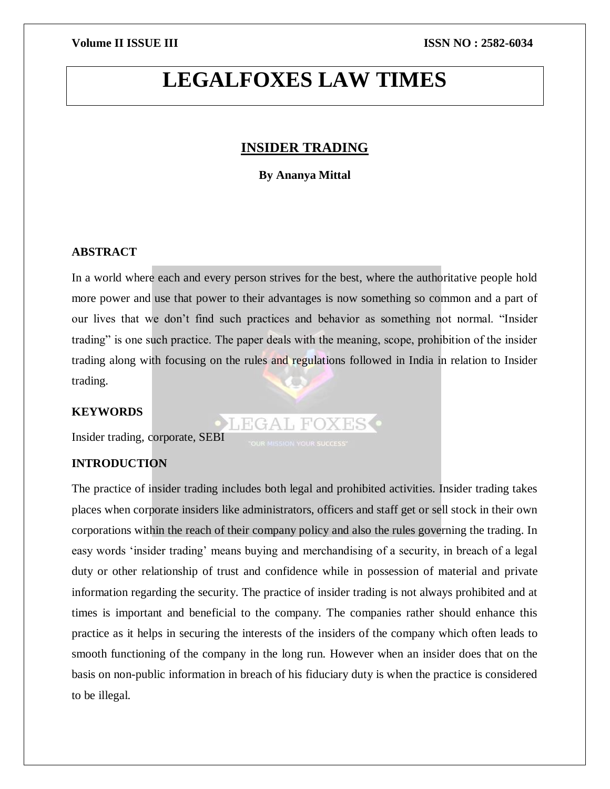## **LEGALFOXES LAW TIMES**

### **INSIDER TRADING**

#### **By Ananya Mittal**

#### **ABSTRACT**

In a world where each and every person strives for the best, where the authoritative people hold more power and use that power to their advantages is now something so common and a part of our lives that we don't find such practices and behavior as something not normal. "Insider trading" is one such practice. The paper deals with the meaning, scope, prohibition of the insider trading along with focusing on the rules and regulations followed in India in relation to Insider trading.

**OLEGAL FOXES** 

### **KEYWORDS**

Insider trading, corporate, SEBI

### **INTRODUCTION**

The practice of insider trading includes both legal and prohibited activities. Insider trading takes places when corporate insiders like administrators, officers and staff get or sell stock in their own corporations within the reach of their company policy and also the rules governing the trading. In easy words 'insider trading' means buying and merchandising of a security, in breach of a legal duty or other relationship of trust and confidence while in possession of material and private information regarding the security. The practice of insider trading is not always prohibited and at times is important and beneficial to the company. The companies rather should enhance this practice as it helps in securing the interests of the insiders of the company which often leads to smooth functioning of the company in the long run. However when an insider does that on the basis on non-public information in breach of his fiduciary duty is when the practice is considered to be illegal.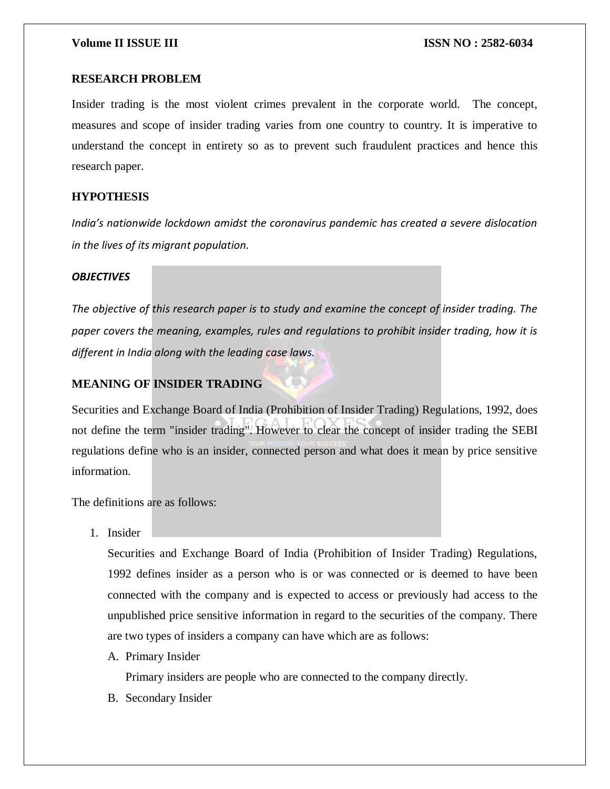#### **RESEARCH PROBLEM**

Insider trading is the most violent crimes prevalent in the corporate world. The concept, measures and scope of insider trading varies from one country to country. It is imperative to understand the concept in entirety so as to prevent such fraudulent practices and hence this research paper.

#### **HYPOTHESIS**

*India's nationwide lockdown amidst the coronavirus pandemic has created a severe dislocation in the lives of its migrant population.*

#### *OBJECTIVES*

*The objective of this research paper is to study and examine the concept of insider trading. The paper covers the meaning, examples, rules and regulations to prohibit insider trading, how it is different in India along with the leading case laws.*

### **MEANING OF INSIDER TRADING**

Securities and Exchange Board of India (Prohibition of Insider Trading) Regulations, 1992, does not define the term "insider trading". However to clear the concept of insider trading the SEBI regulations define who is an insider, connected person and what does it mean by price sensitive information.

The definitions are as follows:

1. Insider

Securities and Exchange Board of India (Prohibition of Insider Trading) Regulations, 1992 defines insider as a person who is or was connected or is deemed to have been connected with the company and is expected to access or previously had access to the unpublished price sensitive information in regard to the securities of the company. There are two types of insiders a company can have which are as follows:

A. Primary Insider

Primary insiders are people who are connected to the company directly.

B. Secondary Insider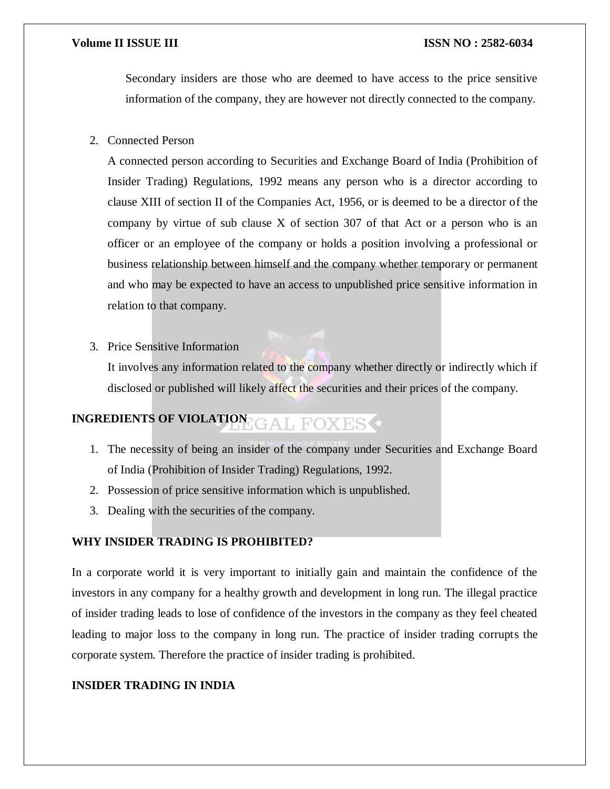#### **Volume II ISSUE III III ISSUE III ISSN NO** : 2582-6034

Secondary insiders are those who are deemed to have access to the price sensitive information of the company, they are however not directly connected to the company.

2. Connected Person

A connected person according to Securities and Exchange Board of India (Prohibition of Insider Trading) Regulations, 1992 means any person who is a director according to clause XIII of section II of the Companies Act, 1956, or is deemed to be a director of the company by virtue of sub clause  $X$  of section 307 of that Act or a person who is an officer or an employee of the company or holds a position involving a professional or business relationship between himself and the company whether temporary or permanent and who may be expected to have an access to unpublished price sensitive information in relation to that company.

3. Price Sensitive Information

It involves any information related to the company whether directly or indirectly which if disclosed or published will likely affect the securities and their prices of the company.

# **INGREDIENTS OF VIOLATION**

- 1. The necessity of being an insider of the company under Securities and Exchange Board of India (Prohibition of Insider Trading) Regulations, 1992.
- 2. Possession of price sensitive information which is unpublished.
- 3. Dealing with the securities of the company.

#### **WHY INSIDER TRADING IS PROHIBITED?**

In a corporate world it is very important to initially gain and maintain the confidence of the investors in any company for a healthy growth and development in long run. The illegal practice of insider trading leads to lose of confidence of the investors in the company as they feel cheated leading to major loss to the company in long run. The practice of insider trading corrupts the corporate system. Therefore the practice of insider trading is prohibited.

### **INSIDER TRADING IN INDIA**